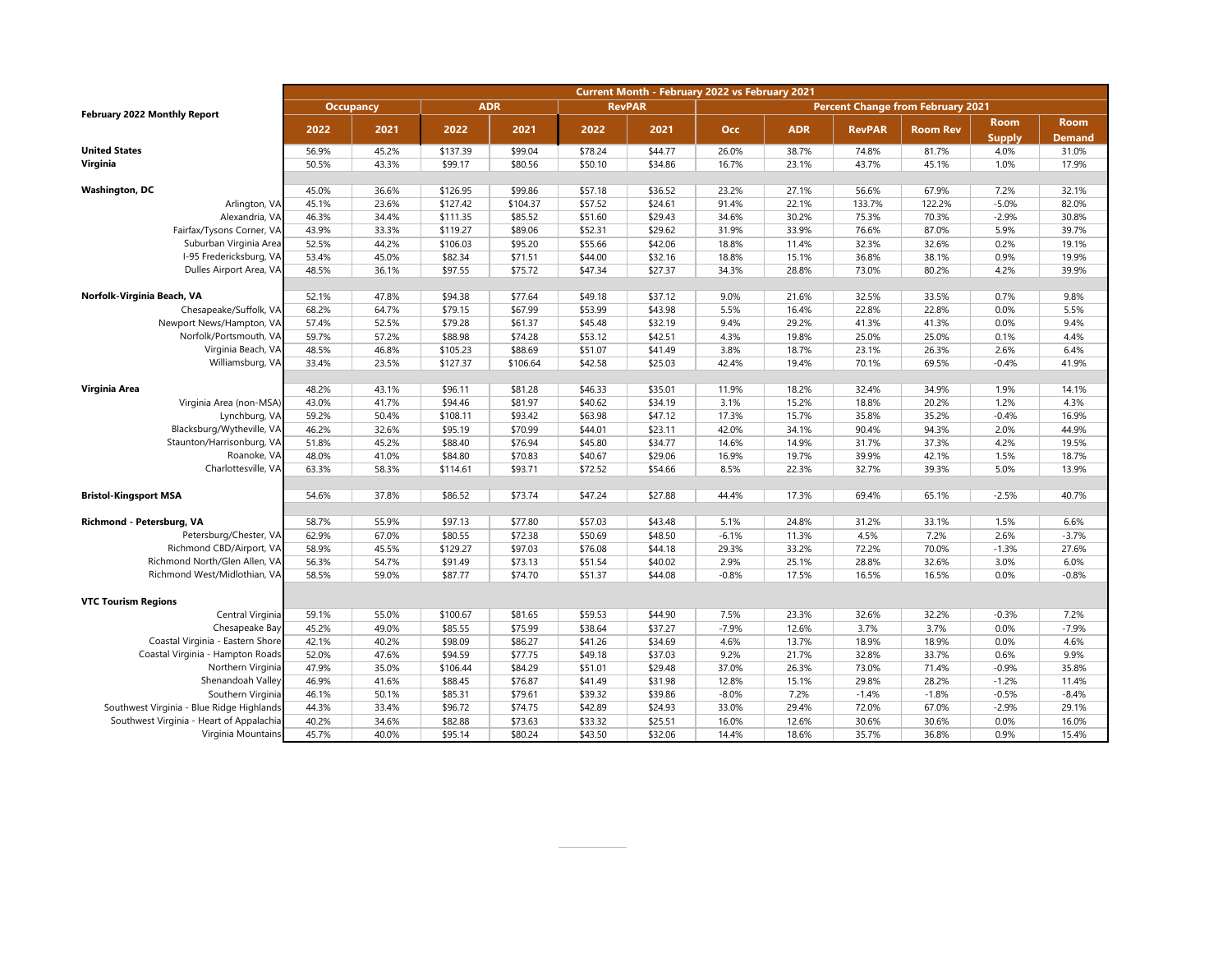|                                           | Current Month - February 2022 vs February 2021 |       |            |          |               |         |                                          |            |               |                 |               |               |
|-------------------------------------------|------------------------------------------------|-------|------------|----------|---------------|---------|------------------------------------------|------------|---------------|-----------------|---------------|---------------|
| <b>February 2022 Monthly Report</b>       | <b>Occupancy</b>                               |       | <b>ADR</b> |          | <b>RevPAR</b> |         | <b>Percent Change from February 2021</b> |            |               |                 |               |               |
|                                           |                                                |       |            |          |               |         |                                          |            |               |                 | <b>Room</b>   | <b>Room</b>   |
|                                           | 2022                                           | 2021  | 2022       | 2021     | 2022          | 2021    | <b>Occ</b>                               | <b>ADR</b> | <b>RevPAR</b> | <b>Room Rev</b> | <b>Supply</b> | <b>Demand</b> |
| <b>United States</b>                      | 56.9%                                          | 45.2% | \$137.39   | \$99.04  | \$78.24       | \$44.77 | 26.0%                                    | 38.7%      | 74.8%         | 81.7%           | 4.0%          | 31.0%         |
| Virginia                                  | 50.5%                                          | 43.3% | \$99.17    | \$80.56  | \$50.10       | \$34.86 | 16.7%                                    | 23.1%      | 43.7%         | 45.1%           | 1.0%          | 17.9%         |
|                                           |                                                |       |            |          |               |         |                                          |            |               |                 |               |               |
| <b>Washington, DC</b>                     | 45.0%                                          | 36.6% | \$126.95   | \$99.86  | \$57.18       | \$36.52 | 23.2%                                    | 27.1%      | 56.6%         | 67.9%           | 7.2%          | 32.1%         |
| Arlington, VA                             | 45.1%                                          | 23.6% | \$127.42   | \$104.37 | \$57.52       | \$24.61 | 91.4%                                    | 22.1%      | 133.7%        | 122.2%          | $-5.0%$       | 82.0%         |
| Alexandria, VA                            | 46.3%                                          | 34.4% | \$111.35   | \$85.52  | \$51.60       | \$29.43 | 34.6%                                    | 30.2%      | 75.3%         | 70.3%           | $-2.9%$       | 30.8%         |
| Fairfax/Tysons Corner, VA                 | 43.9%                                          | 33.3% | \$119.27   | \$89.06  | \$52.31       | \$29.62 | 31.9%                                    | 33.9%      | 76.6%         | 87.0%           | 5.9%          | 39.7%         |
| Suburban Virginia Area                    | 52.5%                                          | 44.2% | \$106.03   | \$95.20  | \$55.66       | \$42.06 | 18.8%                                    | 11.4%      | 32.3%         | 32.6%           | 0.2%          | 19.1%         |
| I-95 Fredericksburg, VA                   | 53.4%                                          | 45.0% | \$82.34    | \$71.51  | \$44.00       | \$32.16 | 18.8%                                    | 15.1%      | 36.8%         | 38.1%           | 0.9%          | 19.9%         |
| Dulles Airport Area, VA                   | 48.5%                                          | 36.1% | \$97.55    | \$75.72  | \$47.34       | \$27.37 | 34.3%                                    | 28.8%      | 73.0%         | 80.2%           | 4.2%          | 39.9%         |
|                                           |                                                |       |            |          |               |         |                                          |            |               |                 |               |               |
| Norfolk-Virginia Beach, VA                | 52.1%                                          | 47.8% | \$94.38    | \$77.64  | \$49.18       | \$37.12 | 9.0%                                     | 21.6%      | 32.5%         | 33.5%           | 0.7%          | 9.8%          |
| Chesapeake/Suffolk, VA                    | 68.2%                                          | 64.7% | \$79.15    | \$67.99  | \$53.99       | \$43.98 | 5.5%                                     | 16.4%      | 22.8%         | 22.8%           | 0.0%          | 5.5%          |
| Newport News/Hampton, VA                  | 57.4%                                          | 52.5% | \$79.28    | \$61.37  | \$45.48       | \$32.19 | 9.4%                                     | 29.2%      | 41.3%         | 41.3%           | 0.0%          | 9.4%          |
| Norfolk/Portsmouth, VA                    | 59.7%                                          | 57.2% | \$88.98    | \$74.28  | \$53.12       | \$42.51 | 4.3%                                     | 19.8%      | 25.0%         | 25.0%           | 0.1%          | 4.4%          |
| Virginia Beach, VA                        | 48.5%                                          | 46.8% | \$105.23   | \$88.69  | \$51.07       | \$41.49 | 3.8%                                     | 18.7%      | 23.1%         | 26.3%           | 2.6%          | 6.4%          |
| Williamsburg, VA                          | 33.4%                                          | 23.5% | \$127.37   | \$106.64 | \$42.58       | \$25.03 | 42.4%                                    | 19.4%      | 70.1%         | 69.5%           | $-0.4%$       | 41.9%         |
|                                           |                                                |       |            |          |               |         |                                          |            |               |                 |               |               |
| Virginia Area                             | 48.2%                                          | 43.1% | \$96.11    | \$81.28  | \$46.33       | \$35.01 | 11.9%                                    | 18.2%      | 32.4%         | 34.9%           | 1.9%          | 14.1%         |
| Virginia Area (non-MSA)                   | 43.0%                                          | 41.7% | \$94.46    | \$81.97  | \$40.62       | \$34.19 | 3.1%                                     | 15.2%      | 18.8%         | 20.2%           | 1.2%          | 4.3%          |
| Lynchburg, VA                             | 59.2%                                          | 50.4% | \$108.11   | \$93.42  | \$63.98       | \$47.12 | 17.3%                                    | 15.7%      | 35.8%         | 35.2%           | $-0.4%$       | 16.9%         |
| Blacksburg/Wytheville, VA                 | 46.2%                                          | 32.6% | \$95.19    | \$70.99  | \$44.01       | \$23.11 | 42.0%                                    | 34.1%      | 90.4%         | 94.3%           | 2.0%          | 44.9%         |
| Staunton/Harrisonburg, VA                 | 51.8%                                          | 45.2% | \$88.40    | \$76.94  | \$45.80       | \$34.77 | 14.6%                                    | 14.9%      | 31.7%         | 37.3%           | 4.2%          | 19.5%         |
| Roanoke, VA                               | 48.0%                                          | 41.0% | \$84.80    | \$70.83  | \$40.67       | \$29.06 | 16.9%                                    | 19.7%      | 39.9%         | 42.1%           | 1.5%          | 18.7%         |
| Charlottesville, VA                       | 63.3%                                          | 58.3% | \$114.61   | \$93.71  | \$72.52       | \$54.66 | 8.5%                                     | 22.3%      | 32.7%         | 39.3%           | 5.0%          | 13.9%         |
|                                           |                                                |       |            |          |               |         |                                          |            |               |                 |               |               |
| <b>Bristol-Kingsport MSA</b>              | 54.6%                                          | 37.8% | \$86.52    | \$73.74  | \$47.24       | \$27.88 | 44.4%                                    | 17.3%      | 69.4%         | 65.1%           | $-2.5%$       | 40.7%         |
|                                           |                                                |       |            |          |               |         |                                          |            |               |                 |               |               |
| Richmond - Petersburg, VA                 | 58.7%                                          | 55.9% | \$97.13    | \$77.80  | \$57.03       | \$43.48 | 5.1%                                     | 24.8%      | 31.2%         | 33.1%           | 1.5%          | 6.6%          |
| Petersburg/Chester, VA                    | 62.9%                                          | 67.0% | \$80.55    | \$72.38  | \$50.69       | \$48.50 | $-6.1%$                                  | 11.3%      | 4.5%          | 7.2%            | 2.6%          | $-3.7%$       |
| Richmond CBD/Airport, VA                  | 58.9%                                          | 45.5% | \$129.27   | \$97.03  | \$76.08       | \$44.18 | 29.3%                                    | 33.2%      | 72.2%         | 70.0%           | $-1.3%$       | 27.6%         |
| Richmond North/Glen Allen, VA             | 56.3%                                          | 54.7% | \$91.49    | \$73.13  | \$51.54       | \$40.02 | 2.9%                                     | 25.1%      | 28.8%         | 32.6%           | 3.0%          | 6.0%          |
| Richmond West/Midlothian, VA              | 58.5%                                          | 59.0% | \$87.77    | \$74.70  | \$51.37       | \$44.08 | $-0.8%$                                  | 17.5%      | 16.5%         | 16.5%           | 0.0%          | $-0.8%$       |
|                                           |                                                |       |            |          |               |         |                                          |            |               |                 |               |               |
| <b>VTC Tourism Regions</b>                |                                                |       |            |          |               |         |                                          |            |               |                 |               |               |
| Central Virginia                          | 59.1%                                          | 55.0% | \$100.67   | \$81.65  | \$59.53       | \$44.90 | 7.5%                                     | 23.3%      | 32.6%         | 32.2%           | $-0.3%$       | 7.2%          |
| Chesapeake Bay                            | 45.2%                                          | 49.0% | \$85.55    | \$75.99  | \$38.64       | \$37.27 | $-7.9%$                                  | 12.6%      | 3.7%          | 3.7%            | 0.0%          | $-7.9%$       |
| Coastal Virginia - Eastern Shore          | 42.1%                                          | 40.2% | \$98.09    | \$86.27  | \$41.26       | \$34.69 | 4.6%                                     | 13.7%      | 18.9%         | 18.9%           | 0.0%          | 4.6%          |
| Coastal Virginia - Hampton Roads          | 52.0%                                          | 47.6% | \$94.59    | \$77.75  | \$49.18       | \$37.03 | 9.2%                                     | 21.7%      | 32.8%         | 33.7%           | 0.6%          | 9.9%          |
| Northern Virginia                         | 47.9%                                          | 35.0% | \$106.44   | \$84.29  | \$51.01       | \$29.48 | 37.0%                                    | 26.3%      | 73.0%         | 71.4%           | $-0.9%$       | 35.8%         |
| Shenandoah Valley                         | 46.9%                                          | 41.6% | \$88.45    | \$76.87  | \$41.49       | \$31.98 | 12.8%                                    | 15.1%      | 29.8%         | 28.2%           | $-1.2%$       | 11.4%         |
| Southern Virginia                         | 46.1%                                          | 50.1% | \$85.31    | \$79.61  | \$39.32       | \$39.86 | $-8.0%$                                  | 7.2%       | $-1.4%$       | $-1.8%$         | $-0.5%$       | $-8.4%$       |
| Southwest Virginia - Blue Ridge Highlands | 44.3%                                          | 33.4% | \$96.72    | \$74.75  | \$42.89       | \$24.93 | 33.0%                                    | 29.4%      | 72.0%         | 67.0%           | $-2.9%$       | 29.1%         |
| Southwest Virginia - Heart of Appalachia  | 40.2%                                          | 34.6% | \$82.88    | \$73.63  | \$33.32       | \$25.51 | 16.0%                                    | 12.6%      | 30.6%         | 30.6%           | 0.0%          | 16.0%         |
| Virginia Mountains                        | 45.7%                                          | 40.0% | \$95.14    | \$80.24  | \$43.50       | \$32.06 | 14.4%                                    | 18.6%      | 35.7%         | 36.8%           | 0.9%          | 15.4%         |